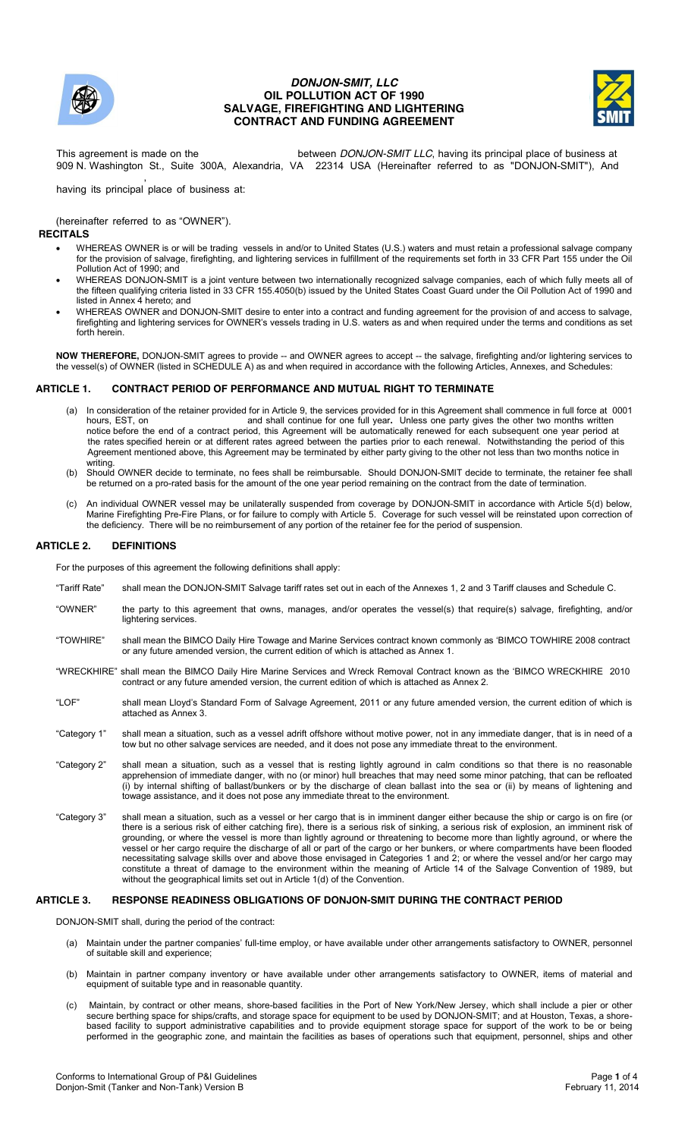

# *DONJON-SMIT, LLC*  **OIL POLLUTION ACT OF 1990 SALVAGE, FIREFIGHTING AND LIGHTERING CONTRACT AND FUNDING AGREEMENT**



This agreement is made on the between *DONJON-SMIT LLC*, having its principal place of business at 909 N. Washington St., Suite 300A, Alexandria, VA 22314 USA (Hereinafter referred to as "DONJON-SMIT"), And ,

having its principal place of business at:

l. (hereinafter referred to as "OWNER").

**RECITALS**

- WHEREAS OWNER is or will be trading vessels in and/or to United States (U.S.) waters and must retain a professional salvage company for the provision of salvage, firefighting, and lightering services in fulfillment of the requirements set forth in 33 CFR Part 155 under the Oil Pollution Act of 1990; and
- WHEREAS DONJON-SMIT is a joint venture between two internationally recognized salvage companies, each of which fully meets all of the fifteen qualifying criteria listed in 33 CFR 155.4050(b) issued by the United States Coast Guard under the Oil Pollution Act of 1990 and listed in Annex 4 hereto; and
- WHEREAS OWNER and DONJON-SMIT desire to enter into a contract and funding agreement for the provision of and access to salvage, firefighting and lightering services for OWNER's vessels trading in U.S. waters as and when required under the terms and conditions as set forth herein.

**NOW THEREFORE,** DONJON-SMIT agrees to provide -- and OWNER agrees to accept -- the salvage, firefighting and/or lightering services to the vessel(s) of OWNER (listed in SCHEDULE A) as and when required in accordance with the following Articles, Annexes, and Schedules:

## **ARTICLE 1. CONTRACT PERIOD OF PERFORMANCE AND MUTUAL RIGHT TO TERMINATE**

- (a) In consideration of the retainer provided for in Article 9, the services provided for in this Agreement shall commence in full force at 0001 hours. EST, on and shall continue for one full year. Unless one party gives t and shall continue for one full year. Unless one party gives the other two months written notice before the end of a contract period, this Agreement will be automatically renewed for each subsequent one year period at the rates specified herein or at different rates agreed between the parties prior to each renewal. Notwithstanding the period of this Agreement mentioned above, this Agreement may be terminated by either party giving to the other not less than two months notice in writing
- (b) Should OWNER decide to terminate, no fees shall be reimbursable. Should DONJON-SMIT decide to terminate, the retainer fee shall be returned on a pro-rated basis for the amount of the one year period remaining on the contract from the date of termination.
- (c) An individual OWNER vessel may be unilaterally suspended from coverage by DONJON-SMIT in accordance with Article 5(d) below, Marine Firefighting Pre-Fire Plans, or for failure to comply with Article 5. Coverage for such vessel will be reinstated upon correction of the deficiency. There will be no reimbursement of any portion of the retainer fee for the period of suspension.

### **ARTICLE 2. DEFINITIONS**

For the purposes of this agreement the following definitions shall apply:

- "Tariff Rate" shall mean the DONJON-SMIT Salvage tariff rates set out in each of the Annexes 1, 2 and 3 Tariff clauses and Schedule C.
- "OWNER" the party to this agreement that owns, manages, and/or operates the vessel(s) that require(s) salvage, firefighting, and/or lightering services.
- "TOWHIRE" shall mean the BIMCO Daily Hire Towage and Marine Services contract known commonly as 'BIMCO TOWHIRE 2008 contract or any future amended version, the current edition of which is attached as Annex 1.
- "WRECKHIRE" shall mean the BIMCO Daily Hire Marine Services and Wreck Removal Contract known as the 'BIMCO WRECKHIRE 2010 contract or any future amended version, the current edition of which is attached as Annex 2.
- "LOF" shall mean Lloyd's Standard Form of Salvage Agreement, 2011 or any future amended version, the current edition of which is attached as Annex 3.
- "Category 1" shall mean a situation, such as a vessel adrift offshore without motive power, not in any immediate danger, that is in need of a tow but no other salvage services are needed, and it does not pose any immediate threat to the environment.
- "Category 2" shall mean a situation, such as a vessel that is resting lightly aground in calm conditions so that there is no reasonable apprehension of immediate danger, with no (or minor) hull breaches that may need some minor patching, that can be refloated (i) by internal shifting of ballast/bunkers or by the discharge of clean ballast into the sea or (ii) by means of lightening and towage assistance, and it does not pose any immediate threat to the environment.
- "Category 3" shall mean a situation, such as a vessel or her cargo that is in imminent danger either because the ship or cargo is on fire (or there is a serious risk of either catching fire), there is a serious risk of sinking, a serious risk of explosion, an imminent risk of grounding, or where the vessel is more than lightly aground or threatening to become more than lightly aground, or where the vessel or her cargo require the discharge of all or part of the cargo or her bunkers, or where compartments have been flooded necessitating salvage skills over and above those envisaged in Categories 1 and 2; or where the vessel and/or her cargo may constitute a threat of damage to the environment within the meaning of Article 14 of the Salvage Convention of 1989, but without the geographical limits set out in Article 1(d) of the Convention.

### **ARTICLE 3. RESPONSE READINESS OBLIGATIONS OF DONJON-SMIT DURING THE CONTRACT PERIOD**

DONJON-SMIT shall, during the period of the contract:

- (a) Maintain under the partner companies' full-time employ, or have available under other arrangements satisfactory to OWNER, personnel of suitable skill and experience;
- (b) Maintain in partner company inventory or have available under other arrangements satisfactory to OWNER, items of material and equipment of suitable type and in reasonable quantity.
- (c) Maintain, by contract or other means, shore-based facilities in the Port of New York/New Jersey, which shall include a pier or other secure berthing space for ships/crafts, and storage space for equipment to be used by DONJON-SMIT; and at Houston, Texas, a shorebased facility to support administrative capabilities and to provide equipment storage space for support of the work to be or being performed in the geographic zone, and maintain the facilities as bases of operations such that equipment, personnel, ships and other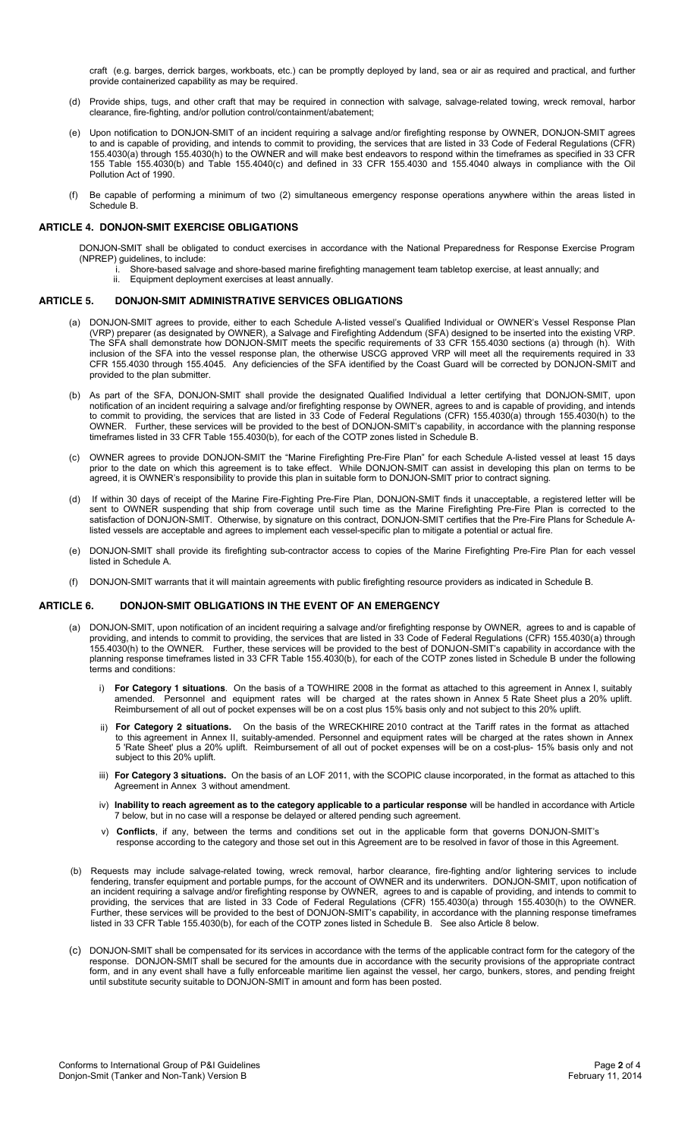craft (e.g. barges, derrick barges, workboats, etc.) can be promptly deployed by land, sea or air as required and practical, and further provide containerized capability as may be required.

- (d) Provide ships, tugs, and other craft that may be required in connection with salvage, salvage-related towing, wreck removal, harbor clearance, fire-fighting, and/or pollution control/containment/abatement;
- (e) Upon notification to DONJON-SMIT of an incident requiring a salvage and/or firefighting response by OWNER, DONJON-SMIT agrees to and is capable of providing, and intends to commit to providing, the services that are listed in 33 Code of Federal Regulations (CFR) 155.4030(a) through 155.4030(h) to the OWNER and will make best endeavors to respond within the timeframes as specified in 33 CFR 155 Table 155.4030(b) and Table 155.4040(c) and defined in 33 CFR 155.4030 and 155.4040 always in compliance with the Oil Pollution Act of 1990.
- (f) Be capable of performing a minimum of two (2) simultaneous emergency response operations anywhere within the areas listed in Schedule B.

## **ARTICLE 4. DONJON-SMIT EXERCISE OBLIGATIONS**

DONJON-SMIT shall be obligated to conduct exercises in accordance with the National Preparedness for Response Exercise Program (NPREP) guidelines, to include:

- i. Shore-based salvage and shore-based marine firefighting management team tabletop exercise, at least annually; and<br>ii Fauinment deployment exercises at least annually
- Equipment deployment exercises at least annually.

### **ARTICLE 5. DONJON-SMIT ADMINISTRATIVE SERVICES OBLIGATIONS**

- (a) DONJON-SMIT agrees to provide, either to each Schedule A-listed vessel's Qualified Individual or OWNER's Vessel Response Plan (VRP) preparer (as designated by OWNER), a Salvage and Firefighting Addendum (SFA) designed to be inserted into the existing VRP. The SFA shall demonstrate how DONJON-SMIT meets the specific requirements of 33 CFR 155.4030 sections (a) through (h). With inclusion of the SFA into the vessel response plan, the otherwise USCG approved VRP will meet all the requirements required in 33 CFR 155.4030 through 155.4045. Any deficiencies of the SFA identified by the Coast Guard will be corrected by DONJON-SMIT and provided to the plan submitter.
- (b) As part of the SFA, DONJON-SMIT shall provide the designated Qualified Individual a letter certifying that DONJON-SMIT, upon notification of an incident requiring a salvage and/or firefighting response by OWNER, agrees to and is capable of providing, and intends to commit to providing, the services that are listed in 33 Code of Federal Regulations (CFR) 155.4030(a) through 155.4030(h) to the OWNER. Further, these services will be provided to the best of DONJON-SMIT's capability, in accordance with the planning response timeframes listed in 33 CFR Table 155.4030(b), for each of the COTP zones listed in Schedule B.
- (c) OWNER agrees to provide DONJON-SMIT the "Marine Firefighting Pre-Fire Plan" for each Schedule A-listed vessel at least 15 days prior to the date on which this agreement is to take effect. While DONJON-SMIT can assist in developing this plan on terms to be agreed, it is OWNER's responsibility to provide this plan in suitable form to DONJON-SMIT prior to contract signing.
- (d) If within 30 days of receipt of the Marine Fire-Fighting Pre-Fire Plan, DONJON-SMIT finds it unacceptable, a registered letter will be sent to OWNER suspending that ship from coverage until such time as the Marine Firefighting Pre-Fire Plan is corrected to the satisfaction of DONJON-SMIT. Otherwise, by signature on this contract, DONJON-SMIT certifies that the Pre-Fire Plans for Schedule Alisted vessels are acceptable and agrees to implement each vessel-specific plan to mitigate a potential or actual fire.
- (e) DONJON-SMIT shall provide its firefighting sub-contractor access to copies of the Marine Firefighting Pre-Fire Plan for each vessel listed in Schedule A.
- (f) DONJON-SMIT warrants that it will maintain agreements with public firefighting resource providers as indicated in Schedule B.

#### **ARTICLE 6. DONJON-SMIT OBLIGATIONS IN THE EVENT OF AN EMERGENCY**

- (a) DONJON-SMIT, upon notification of an incident requiring a salvage and/or firefighting response by OWNER, agrees to and is capable of providing, and intends to commit to providing, the services that are listed in 33 Code of Federal Regulations (CFR) 155.4030(a) through 155.4030(h) to the OWNER. Further, these services will be provided to the best of DONJON-SMIT's capability in accordance with the planning response timeframes listed in 33 CFR Table 155.4030(b), for each of the COTP zones listed in Schedule B under the following terms and conditions:
	- i) **For Category 1 situations**. On the basis of a TOWHIRE 2008 in the format as attached to this agreement in Annex I, suitably amended. Personnel and equipment rates will be charged at the rates shown in Annex 5 Rate Sheet plus a 20% uplift. Reimbursement of all out of pocket expenses will be on a cost plus 15% basis only and not subject to this 20% uplift.
	- ii) **For Category 2 situations.** On the basis of the WRECKHIRE 2010 contract at the Tariff rates in the format as attached to this agreement in Annex II, suitably-amended. Personnel and equipment rates will be charged at the rates shown in Annex 5 'Rate Sheet' plus a 20% uplift. Reimbursement of all out of pocket expenses will be on a cost-plus- 15% basis only and not subject to this 20% uplift.
	- iii) **For Category 3 situations.** On the basis of an LOF 2011, with the SCOPIC clause incorporated, in the format as attached to this Agreement in Annex 3 without amendment.
	- iv) **Inability to reach agreement as to the category applicable to a particular response** will be handled in accordance with Article 7 below, but in no case will a response be delayed or altered pending such agreement.
	- v) **Conflicts**, if any, between the terms and conditions set out in the applicable form that governs DONJON-SMIT's response according to the category and those set out in this Agreement are to be resolved in favor of those in this Agreement.
- (b) Requests may include salvage-related towing, wreck removal, harbor clearance, fire-fighting and/or lightering services to include fendering, transfer equipment and portable pumps, for the account of OWNER and its underwriters. DONJON-SMIT, upon notification of an incident requiring a salvage and/or firefighting response by OWNER, agrees to and is capable of providing, and intends to commit to providing, the services that are listed in 33 Code of Federal Regulations (CFR) 155.4030(a) through 155.4030(h) to the OWNER. Further, these services will be provided to the best of DONJON-SMIT's capability, in accordance with the planning response timeframes listed in 33 CFR Table 155.4030(b), for each of the COTP zones listed in Schedule B. See also Article 8 below.
- (c) DONJON-SMIT shall be compensated for its services in accordance with the terms of the applicable contract form for the category of the response. DONJON-SMIT shall be secured for the amounts due in accordance with the security provisions of the appropriate contract form, and in any event shall have a fully enforceable maritime lien against the vessel, her cargo, bunkers, stores, and pending freight until substitute security suitable to DONJON-SMIT in amount and form has been posted.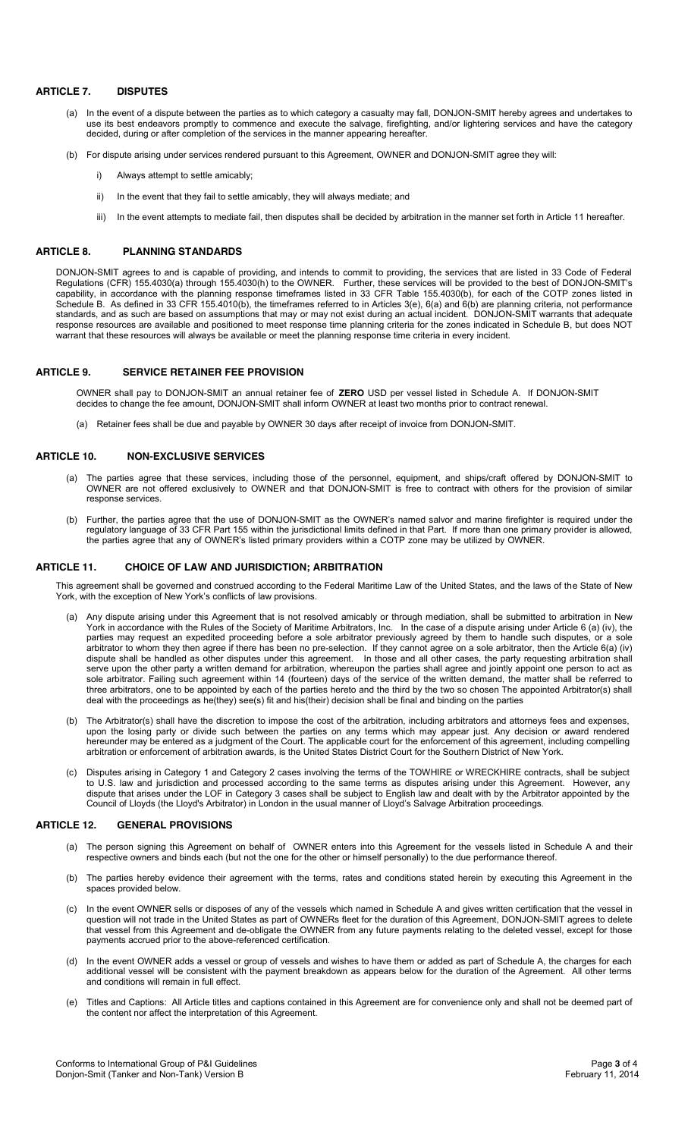### **ARTICLE 7. DISPUTES**

- (a) In the event of a dispute between the parties as to which category a casualty may fall, DONJON-SMIT hereby agrees and undertakes to use its best endeavors promptly to commence and execute the salvage, firefighting, and/or lightering services and have the category decided, during or after completion of the services in the manner appearing hereafter.
- (b) For dispute arising under services rendered pursuant to this Agreement, OWNER and DONJON-SMIT agree they will:
	- i) Always attempt to settle amicably;
	- ii) In the event that they fail to settle amicably, they will always mediate; and
	- iii) In the event attempts to mediate fail, then disputes shall be decided by arbitration in the manner set forth in Article 11 hereafter.

### **ARTICLE 8. PLANNING STANDARDS**

DONJON-SMIT agrees to and is capable of providing, and intends to commit to providing, the services that are listed in 33 Code of Federal Regulations (CFR) 155.4030(a) through 155.4030(h) to the OWNER. Further, these services will be provided to the best of DONJON-SMIT's capability, in accordance with the planning response timeframes listed in 33 CFR Table 155.4030(b), for each of the COTP zones listed in Schedule B. As defined in 33 CFR 155.4010(b), the timeframes referred to in Articles 3(e), 6(a) and 6(b) are planning criteria, not performance standards, and as such are based on assumptions that may or may not exist during an actual incident. DONJON-SMIT warrants that adequate response resources are available and positioned to meet response time planning criteria for the zones indicated in Schedule B, but does NOT warrant that these resources will always be available or meet the planning response time criteria in every incident.

## **ARTICLE 9. SERVICE RETAINER FEE PROVISION**

OWNER shall pay to DONJON-SMIT an annual retainer fee of **ZERO** USD per vessel listed in Schedule A. If DONJON-SMIT decides to change the fee amount, DONJON-SMIT shall inform OWNER at least two months prior to contract renewal.

(a) Retainer fees shall be due and payable by OWNER 30 days after receipt of invoice from DONJON-SMIT.

### **ARTICLE 10. NON-EXCLUSIVE SERVICES**

- (a) The parties agree that these services, including those of the personnel, equipment, and ships/craft offered by DONJON-SMIT to OWNER are not offered exclusively to OWNER and that DONJON-SMIT is free to contract with others for the provision of similar response services.
- (b) Further, the parties agree that the use of DONJON-SMIT as the OWNER's named salvor and marine firefighter is required under the regulatory language of 33 CFR Part 155 within the jurisdictional limits defined in that Part. If more than one primary provider is allowed, the parties agree that any of OWNER's listed primary providers within a COTP zone may be utilized by OWNER.

#### **ARTICLE 11. CHOICE OF LAW AND JURISDICTION; ARBITRATION**

This agreement shall be governed and construed according to the Federal Maritime Law of the United States, and the laws of the State of New York, with the exception of New York's conflicts of law provisions.

- Any dispute arising under this Agreement that is not resolved amicably or through mediation, shall be submitted to arbitration in New York in accordance with the Rules of the Society of Maritime Arbitrators, Inc. In the case of a dispute arising under Article 6 (a) (iv), the parties may request an expedited proceeding before a sole arbitrator previously agreed by them to handle such disputes, or a sole arbitrator to whom they then agree if there has been no pre-selection. If they cannot agree on a sole arbitrator, then the Article 6(a) (iv) dispute shall be handled as other disputes under this agreement. In those and all other cases, the party requesting arbitration shall serve upon the other party a written demand for arbitration, whereupon the parties shall agree and jointly appoint one person to act as sole arbitrator. Failing such agreement within 14 (fourteen) days of the service of the written demand, the matter shall be referred to three arbitrators, one to be appointed by each of the parties hereto and the third by the two so chosen The appointed Arbitrator(s) shall deal with the proceedings as he(they) see(s) fit and his(their) decision shall be final and binding on the parties
- (b) The Arbitrator(s) shall have the discretion to impose the cost of the arbitration, including arbitrators and attorneys fees and expenses, upon the losing party or divide such between the parties on any terms which may appear just. Any decision or award rendered hereunder may be entered as a judgment of the Court. The applicable court for the enforcement of this agreement, including compelling arbitration or enforcement of arbitration awards, is the United States District Court for the Southern District of New York.
- (c) Disputes arising in Category 1 and Category 2 cases involving the terms of the TOWHIRE or WRECKHIRE contracts, shall be subject to U.S. law and jurisdiction and processed according to the same terms as disputes arising under this Agreement. However, any dispute that arises under the LOF in Category 3 cases shall be subject to English law and dealt with by the Arbitrator appointed by the Council of Lloyds (the Lloyd's Arbitrator) in London in the usual manner of Lloyd's Salvage Arbitration proceedings.

### **ARTICLE 12. GENERAL PROVISIONS**

- (a) The person signing this Agreement on behalf of OWNER enters into this Agreement for the vessels listed in Schedule A and their respective owners and binds each (but not the one for the other or himself personally) to the due performance thereof.
- (b) The parties hereby evidence their agreement with the terms, rates and conditions stated herein by executing this Agreement in the spaces provided below.
- (c) In the event OWNER sells or disposes of any of the vessels which named in Schedule A and gives written certification that the vessel in question will not trade in the United States as part of OWNERs fleet for the duration of this Agreement, DONJON-SMIT agrees to delete that vessel from this Agreement and de-obligate the OWNER from any future payments relating to the deleted vessel, except for those payments accrued prior to the above-referenced certification.
- (d) In the event OWNER adds a vessel or group of vessels and wishes to have them or added as part of Schedule A, the charges for each additional vessel will be consistent with the payment breakdown as appears below for the duration of the Agreement. All other terms and conditions will remain in full effect.
- (e) Titles and Captions: All Article titles and captions contained in this Agreement are for convenience only and shall not be deemed part of the content nor affect the interpretation of this Agreement.